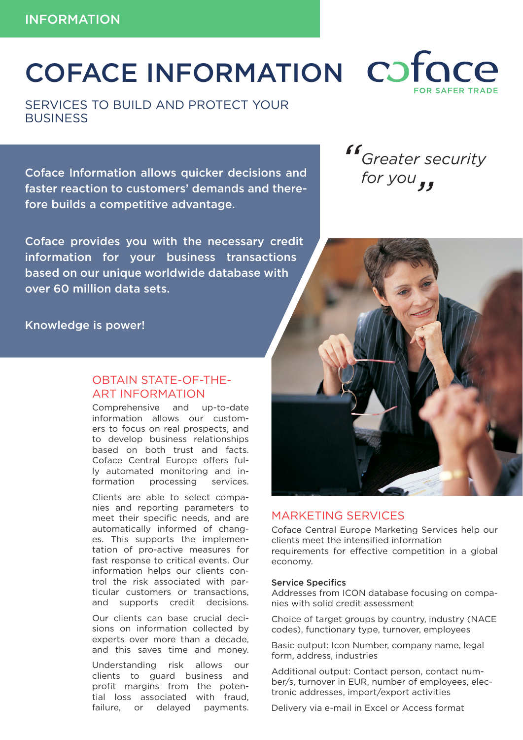# COFACE INFORMATION COTOCE

SERVICES TO BUILD AND PROTECT YOUR **BUSINESS** 

**Coface Information allows quicker decisions and for you** faster reaction to customers' demands and therefore builds a competitive advantage.

Coface provides you with the necessary credit information for your business transactions based on our unique worldwide database with over 60 million data sets.

Knowledge is power!

# OBTAIN STATE-OF-THE-ART INFORMATION

Comprehensive and up-to-date information allows our customers to focus on real prospects, and to develop business relationships based on both trust and facts. Coface Central Europe offers fully automated monitoring and information processing services.

Clients are able to select companies and reporting parameters to meet their specific needs, and are automatically informed of changes. This supports the implementation of pro-active measures for fast response to critical events. Our information helps our clients control the risk associated with particular customers or transactions, and supports credit decisions.

Our clients can base crucial decisions on information collected by experts over more than a decade, and this saves time and money.

Understanding risk allows our clients to guard business and profit margins from the potential loss associated with fraud, failure, or delayed payments.

## MARKETING SERVICES

Coface Central Europe Marketing Services help our clients meet the intensified information requirements for effective competition in a global economy.

#### Service Specifics

Addresses from ICON database focusing on companies with solid credit assessment

Choice of target groups by country, industry (NACE codes), functionary type, turnover, employees

Basic output: Icon Number, company name, legal form, address, industries

Additional output: Contact person, contact number/s, turnover in EUR, number of employees, electronic addresses, import/export activities

Delivery via e-mail in Excel or Access format

# *Greater security*